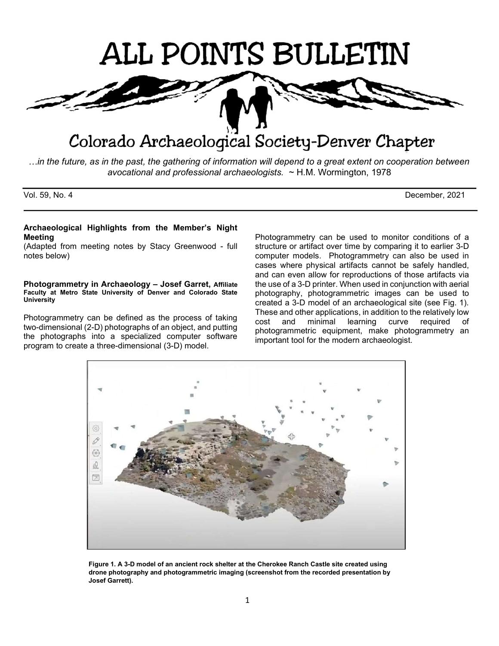

# Colorado Archaeological Society-Denver Chapter

…in the future, as in the past, the gathering of information will depend to a great extent on cooperation between avocational and professional archaeologists. ~ H.M. Wormington, 1978

Vol. 59, No. 4 December, 2021

#### Archaeological Highlights from the Member's Night Meeting

(Adapted from meeting notes by Stacy Greenwood - full notes below)

#### Photogrammetry in Archaeology – Josef Garret, Affiliate Faculty at Metro State University of Denver and Colorado State **University**

Photogrammetry can be defined as the process of taking two-dimensional (2-D) photographs of an object, and putting the photographs into a specialized computer software program to create a three-dimensional (3-D) model.

Photogrammetry can be used to monitor conditions of a structure or artifact over time by comparing it to earlier 3-D computer models. Photogrammetry can also be used in cases where physical artifacts cannot be safely handled, and can even allow for reproductions of those artifacts via the use of a 3-D printer. When used in conjunction with aerial photography, photogrammetric images can be used to created a 3-D model of an archaeological site (see Fig. 1). These and other applications, in addition to the relatively low cost and minimal learning curve required of photogrammetric equipment, make photogrammetry an important tool for the modern archaeologist.



Figure 1. A 3-D model of an ancient rock shelter at the Cherokee Ranch Castle site created using drone photography and photogrammetric imaging (screenshot from the recorded presentation by Josef Garrett).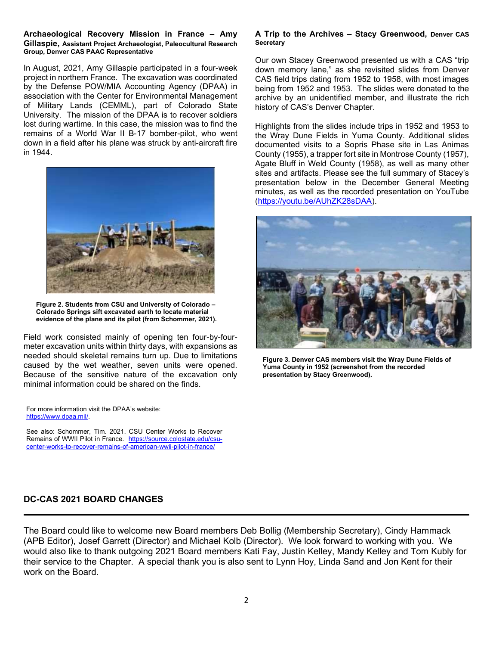#### Archaeological Recovery Mission in France – Amy Gillaspie, Assistant Project Archaeologist, Paleocultural Research Group, Denver CAS PAAC Representative

In August, 2021, Amy Gillaspie participated in a four-week project in northern France. The excavation was coordinated by the Defense POW/MIA Accounting Agency (DPAA) in association with the Center for Environmental Management of Military Lands (CEMML), part of Colorado State University. The mission of the DPAA is to recover soldiers lost during wartime. In this case, the mission was to find the remains of a World War II B-17 bomber-pilot, who went down in a field after his plane was struck by anti-aircraft fire in 1944.



Figure 2. Students from CSU and University of Colorado – Colorado Springs sift excavated earth to locate material evidence of the plane and its pilot (from Schommer, 2021).

Field work consisted mainly of opening ten four-by-fourmeter excavation units within thirty days, with expansions as needed should skeletal remains turn up. Due to limitations caused by the wet weather, seven units were opened. Because of the sensitive nature of the excavation only minimal information could be shared on the finds.

For more information visit the DPAA's website: https://www.dpaa.mil/.

See also: Schommer, Tim. 2021. CSU Center Works to Recover Remains of WWII Pilot in France. https://source.colostate.edu/csucenter-works-to-recover-remains-of-american-wwii-pilot-in-france/

#### A Trip to the Archives – Stacy Greenwood, Denver CAS **Secretary**

Our own Stacey Greenwood presented us with a CAS "trip down memory lane," as she revisited slides from Denver CAS field trips dating from 1952 to 1958, with most images being from 1952 and 1953. The slides were donated to the archive by an unidentified member, and illustrate the rich history of CAS's Denver Chapter.

Highlights from the slides include trips in 1952 and 1953 to the Wray Dune Fields in Yuma County. Additional slides documented visits to a Sopris Phase site in Las Animas County (1955), a trapper fort site in Montrose County (1957), Agate Bluff in Weld County (1958), as well as many other sites and artifacts. Please see the full summary of Stacey's presentation below in the December General Meeting minutes, as well as the recorded presentation on YouTube (https://youtu.be/AUhZK28sDAA).



Figure 3. Denver CAS members visit the Wray Dune Fields of Yuma County in 1952 (screenshot from the recorded presentation by Stacy Greenwood).

# DC-CAS 2021 BOARD CHANGES

The Board could like to welcome new Board members Deb Bollig (Membership Secretary), Cindy Hammack (APB Editor), Josef Garrett (Director) and Michael Kolb (Director). We look forward to working with you. We would also like to thank outgoing 2021 Board members Kati Fay, Justin Kelley, Mandy Kelley and Tom Kubly for their service to the Chapter. A special thank you is also sent to Lynn Hoy, Linda Sand and Jon Kent for their work on the Board.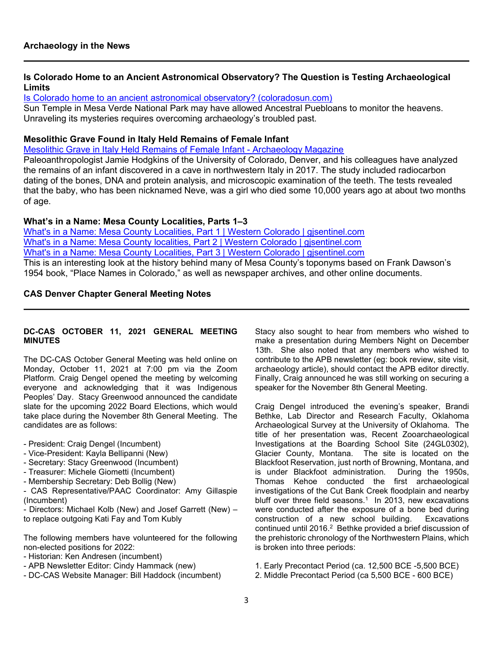## Is Colorado Home to an Ancient Astronomical Observatory? The Question is Testing Archaeological Limits

Is Colorado home to an ancient astronomical observatory? (coloradosun.com)

Sun Temple in Mesa Verde National Park may have allowed Ancestral Puebloans to monitor the heavens. Unraveling its mysteries requires overcoming archaeology's troubled past.

## Mesolithic Grave Found in Italy Held Remains of Female Infant

Mesolithic Grave in Italy Held Remains of Female Infant - Archaeology Magazine

Paleoanthropologist Jamie Hodgkins of the University of Colorado, Denver, and his colleagues have analyzed the remains of an infant discovered in a cave in northwestern Italy in 2017. The study included radiocarbon dating of the bones, DNA and protein analysis, and microscopic examination of the teeth. The tests revealed that the baby, who has been nicknamed Neve, was a girl who died some 10,000 years ago at about two months of age.

# What's in a Name: Mesa County Localities, Parts 1–3

What's in a Name: Mesa County Localities, Part 1 | Western Colorado | gjsentinel.com What's in a Name: Mesa County localities, Part 2 | Western Colorado | gjsentinel.com What's in a Name: Mesa County Localities, Part 3 | Western Colorado | gjsentinel.com This is an interesting look at the history behind many of Mesa County's toponyms based on Frank Dawson's 1954 book, "Place Names in Colorado," as well as newspaper archives, and other online documents.

# CAS Denver Chapter General Meeting Notes

### DC-CAS OCTOBER 11, 2021 GENERAL MEETING MINUTES

The DC-CAS October General Meeting was held online on Monday, October 11, 2021 at 7:00 pm via the Zoom Platform. Craig Dengel opened the meeting by welcoming everyone and acknowledging that it was Indigenous Peoples' Day. Stacy Greenwood announced the candidate slate for the upcoming 2022 Board Elections, which would take place during the November 8th General Meeting. The candidates are as follows:

- President: Craig Dengel (Incumbent)
- Vice-President: Kayla Bellipanni (New)
- Secretary: Stacy Greenwood (Incumbent)
- Treasurer: Michele Giometti (Incumbent)
- Membership Secretary: Deb Bollig (New)

- CAS Representative/PAAC Coordinator: Amy Gillaspie (Incumbent)

- Directors: Michael Kolb (New) and Josef Garrett (New) – to replace outgoing Kati Fay and Tom Kubly

The following members have volunteered for the following non-elected positions for 2022:

- Historian: Ken Andresen (incumbent)
- APB Newsletter Editor: Cindy Hammack (new)
- DC-CAS Website Manager: Bill Haddock (incumbent)

Stacy also sought to hear from members who wished to make a presentation during Members Night on December 13th. She also noted that any members who wished to contribute to the APB newsletter (eg: book review, site visit, archaeology article), should contact the APB editor directly. Finally, Craig announced he was still working on securing a speaker for the November 8th General Meeting.

Craig Dengel introduced the evening's speaker, Brandi Bethke, Lab Director and Research Faculty, Oklahoma Archaeological Survey at the University of Oklahoma. The title of her presentation was, Recent Zooarchaeological Investigations at the Boarding School Site (24GL0302), Glacier County, Montana. The site is located on the Blackfoot Reservation, just north of Browning, Montana, and is under Blackfoot administration. During the 1950s, Thomas Kehoe conducted the first archaeological investigations of the Cut Bank Creek floodplain and nearby bluff over three field seasons.<sup>1</sup> In 2013, new excavations were conducted after the exposure of a bone bed during construction of a new school building. Excavations continued until 2016.<sup>2</sup> Bethke provided a brief discussion of the prehistoric chronology of the Northwestern Plains, which is broken into three periods:

- 1. Early Precontact Period (ca. 12,500 BCE -5,500 BCE)
- 2. Middle Precontact Period (ca 5,500 BCE 600 BCE)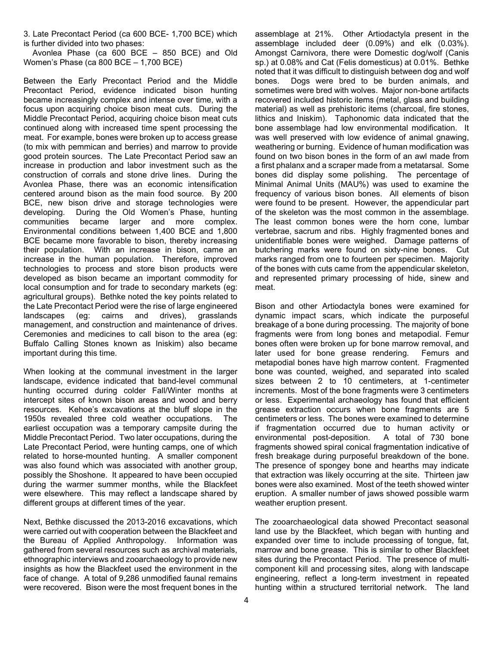3. Late Precontact Period (ca 600 BCE- 1,700 BCE) which is further divided into two phases:

 Avonlea Phase (ca 600 BCE – 850 BCE) and Old Women's Phase (ca 800 BCE – 1,700 BCE)

Between the Early Precontact Period and the Middle Precontact Period, evidence indicated bison hunting became increasingly complex and intense over time, with a focus upon acquiring choice bison meat cuts. During the Middle Precontact Period, acquiring choice bison meat cuts continued along with increased time spent processing the meat. For example, bones were broken up to access grease (to mix with pemmican and berries) and marrow to provide good protein sources. The Late Precontact Period saw an increase in production and labor investment such as the construction of corrals and stone drive lines. During the Avonlea Phase, there was an economic intensification centered around bison as the main food source. By 200 BCE, new bison drive and storage technologies were developing. During the Old Women's Phase, hunting communities became larger and more complex. Environmental conditions between 1,400 BCE and 1,800 BCE became more favorable to bison, thereby increasing their population. With an increase in bison, came an increase in the human population. Therefore, improved technologies to process and store bison products were developed as bison became an important commodity for local consumption and for trade to secondary markets (eg: agricultural groups). Bethke noted the key points related to the Late Precontact Period were the rise of large engineered landscapes (eg: cairns and drives), grasslands management, and construction and maintenance of drives. Ceremonies and medicines to call bison to the area (eg: Buffalo Calling Stones known as Iniskim) also became important during this time.

When looking at the communal investment in the larger landscape, evidence indicated that band-level communal hunting occurred during colder Fall/Winter months at intercept sites of known bison areas and wood and berry resources. Kehoe's excavations at the bluff slope in the 1950s revealed three cold weather occupations. The earliest occupation was a temporary campsite during the Middle Precontact Period. Two later occupations, during the Late Precontact Period, were hunting camps, one of which related to horse-mounted hunting. A smaller component was also found which was associated with another group, possibly the Shoshone. It appeared to have been occupied during the warmer summer months, while the Blackfeet were elsewhere. This may reflect a landscape shared by different groups at different times of the year.

Next, Bethke discussed the 2013-2016 excavations, which were carried out with cooperation between the Blackfeet and the Bureau of Applied Anthropology. Information was gathered from several resources such as archival materials, ethnographic interviews and zooarchaeology to provide new insights as how the Blackfeet used the environment in the face of change. A total of 9,286 unmodified faunal remains were recovered. Bison were the most frequent bones in the

assemblage at 21%. Other Artiodactyla present in the assemblage included deer (0.09%) and elk (0.03%). Amongst Carnivora, there were Domestic dog/wolf (Canis sp.) at 0.08% and Cat (Felis domesticus) at 0.01%. Bethke noted that it was difficult to distinguish between dog and wolf bones. Dogs were bred to be burden animals, and sometimes were bred with wolves. Major non-bone artifacts recovered included historic items (metal, glass and building material) as well as prehistoric items (charcoal, fire stones, lithics and Iniskim). Taphonomic data indicated that the bone assemblage had low environmental modification. It was well preserved with low evidence of animal gnawing, weathering or burning. Evidence of human modification was found on two bison bones in the form of an awl made from a first phalanx and a scraper made from a metatarsal. Some bones did display some polishing. The percentage of Minimal Animal Units (MAU%) was used to examine the frequency of various bison bones. All elements of bison were found to be present. However, the appendicular part of the skeleton was the most common in the assemblage. The least common bones were the horn cone, lumbar vertebrae, sacrum and ribs. Highly fragmented bones and unidentifiable bones were weighed. Damage patterns of butchering marks were found on sixty-nine bones. Cut marks ranged from one to fourteen per specimen. Majority of the bones with cuts came from the appendicular skeleton, and represented primary processing of hide, sinew and meat.

Bison and other Artiodactyla bones were examined for dynamic impact scars, which indicate the purposeful breakage of a bone during processing. The majority of bone fragments were from long bones and metapodial. Femur bones often were broken up for bone marrow removal, and later used for bone grease rendering. Femurs and metapodial bones have high marrow content. Fragmented bone was counted, weighed, and separated into scaled sizes between 2 to 10 centimeters, at 1-centimeter increments. Most of the bone fragments were 3 centimeters or less. Experimental archaeology has found that efficient grease extraction occurs when bone fragments are 5 centimeters or less. The bones were examined to determine if fragmentation occurred due to human activity or environmental post-deposition. A total of 730 bone fragments showed spiral conical fragmentation indicative of fresh breakage during purposeful breakdown of the bone. The presence of spongey bone and hearths may indicate that extraction was likely occurring at the site. Thirteen jaw bones were also examined. Most of the teeth showed winter eruption. A smaller number of jaws showed possible warm weather eruption present.

The zooarchaeological data showed Precontact seasonal land use by the Blackfeet, which began with hunting and expanded over time to include processing of tongue, fat, marrow and bone grease. This is similar to other Blackfeet sites during the Precontact Period. The presence of multicomponent kill and processing sites, along with landscape engineering, reflect a long-term investment in repeated hunting within a structured territorial network. The land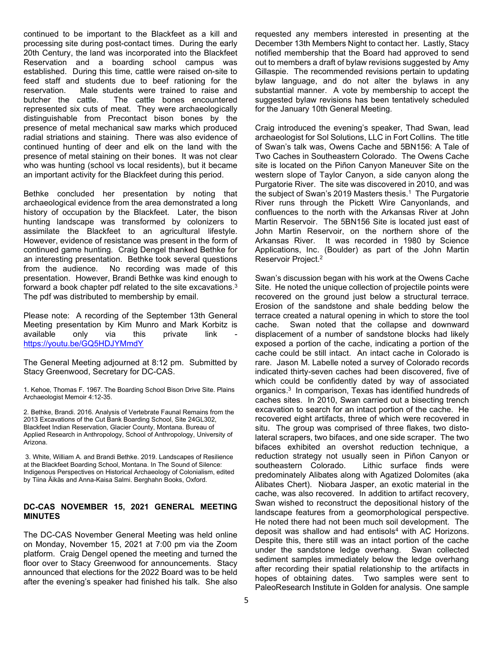continued to be important to the Blackfeet as a kill and processing site during post-contact times. During the early 20th Century, the land was incorporated into the Blackfeet Reservation and a boarding school campus was established. During this time, cattle were raised on-site to feed staff and students due to beef rationing for the reservation. Male students were trained to raise and butcher the cattle. The cattle bones encountered represented six cuts of meat. They were archaeologically distinguishable from Precontact bison bones by the presence of metal mechanical saw marks which produced radial striations and staining. There was also evidence of continued hunting of deer and elk on the land with the presence of metal staining on their bones. It was not clear who was hunting (school vs local residents), but it became an important activity for the Blackfeet during this period.

Bethke concluded her presentation by noting that archaeological evidence from the area demonstrated a long history of occupation by the Blackfeet. Later, the bison hunting landscape was transformed by colonizers to assimilate the Blackfeet to an agricultural lifestyle. However, evidence of resistance was present in the form of continued game hunting. Craig Dengel thanked Bethke for an interesting presentation. Bethke took several questions from the audience. No recording was made of this presentation. However, Brandi Bethke was kind enough to forward a book chapter pdf related to the site excavations.<sup>3</sup> The pdf was distributed to membership by email.

Please note: A recording of the September 13th General Meeting presentation by Kim Munro and Mark Korbitz is available only via this private link https://youtu.be/GQ5HDJYMmdY

The General Meeting adjourned at 8:12 pm. Submitted by Stacy Greenwood, Secretary for DC-CAS.

1. Kehoe, Thomas F. 1967. The Boarding School Bison Drive Site. Plains Archaeologist Memoir 4:12-35.

2. Bethke, Brandi. 2016. Analysis of Vertebrate Faunal Remains from the 2013 Excavations of the Cut Bank Boarding School, Site 24GL302, Blackfeet Indian Reservation, Glacier County, Montana. Bureau of Applied Research in Anthropology, School of Anthropology, University of Arizona.

 3. White, William A. and Brandi Bethke. 2019. Landscapes of Resilience at the Blackfeet Boarding School, Montana. In The Sound of Silence: Indigenous Perspectives on Historical Archaeology of Colonialism, edited by Tiina Ӓikӓs and Anna-Kaisa Salmi. Berghahn Books, Oxford.

#### DC-CAS NOVEMBER 15, 2021 GENERAL MEETING MINUTES

The DC-CAS November General Meeting was held online on Monday, November 15, 2021 at 7:00 pm via the Zoom platform. Craig Dengel opened the meeting and turned the floor over to Stacy Greenwood for announcements. Stacy announced that elections for the 2022 Board was to be held after the evening's speaker had finished his talk. She also

requested any members interested in presenting at the December 13th Members Night to contact her. Lastly, Stacy notified membership that the Board had approved to send out to members a draft of bylaw revisions suggested by Amy Gillaspie. The recommended revisions pertain to updating bylaw language, and do not alter the bylaws in any substantial manner. A vote by membership to accept the suggested bylaw revisions has been tentatively scheduled for the January 10th General Meeting.

Craig introduced the evening's speaker, Thad Swan, lead archaeologist for Sol Solutions, LLC in Fort Collins. The title of Swan's talk was, Owens Cache and 5BN156: A Tale of Two Caches in Southeastern Colorado. The Owens Cache site is located on the Piñon Canyon Maneuver Site on the western slope of Taylor Canyon, a side canyon along the Purgatorie River. The site was discovered in 2010, and was the subject of Swan's 2019 Masters thesis.<sup>1</sup> The Purgatorie River runs through the Pickett Wire Canyonlands, and confluences to the north with the Arkansas River at John Martin Reservoir. The 5BN156 Site is located just east of John Martin Reservoir, on the northern shore of the Arkansas River. It was recorded in 1980 by Science Applications, Inc. (Boulder) as part of the John Martin Reservoir Project.<sup>2</sup>

Swan's discussion began with his work at the Owens Cache Site. He noted the unique collection of projectile points were recovered on the ground just below a structural terrace. Erosion of the sandstone and shale bedding below the terrace created a natural opening in which to store the tool cache. Swan noted that the collapse and downward displacement of a number of sandstone blocks had likely exposed a portion of the cache, indicating a portion of the cache could be still intact. An intact cache in Colorado is rare. Jason M. Labelle noted a survey of Colorado records indicated thirty-seven caches had been discovered, five of which could be confidently dated by way of associated organics.<sup>3</sup> In comparison, Texas has identified hundreds of caches sites. In 2010, Swan carried out a bisecting trench excavation to search for an intact portion of the cache. He recovered eight artifacts, three of which were recovered in situ. The group was comprised of three flakes, two distolateral scrapers, two bifaces, and one side scraper. The two bifaces exhibited an overshot reduction technique, a reduction strategy not usually seen in Piñon Canyon or southeastern Colorado. Lithic surface finds were predominately Alibates along with Agatized Dolomites (aka Alibates Chert). Niobara Jasper, an exotic material in the cache, was also recovered. In addition to artifact recovery, Swan wished to reconstruct the depositional history of the landscape features from a geomorphological perspective. He noted there had not been much soil development. The deposit was shallow and had entisols<sup>4</sup> with AC Horizons. Despite this, there still was an intact portion of the cache under the sandstone ledge overhang. Swan collected sediment samples immediately below the ledge overhang after recording their spatial relationship to the artifacts in hopes of obtaining dates. Two samples were sent to PaleoResearch Institute in Golden for analysis. One sample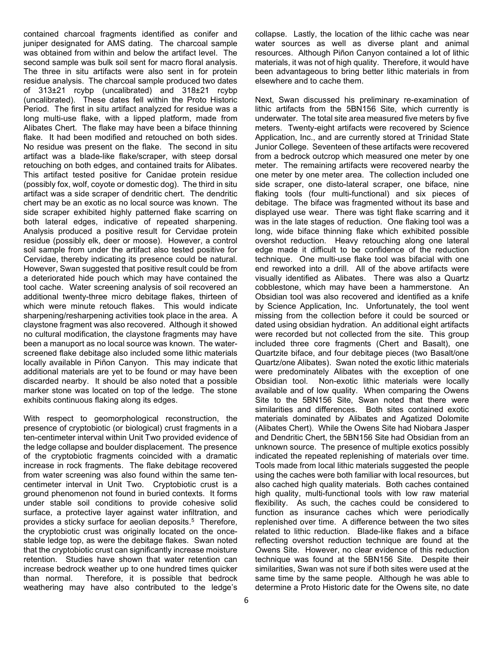contained charcoal fragments identified as conifer and juniper designated for AMS dating. The charcoal sample was obtained from within and below the artifact level. The second sample was bulk soil sent for macro floral analysis. The three in situ artifacts were also sent in for protein residue analysis. The charcoal sample produced two dates of 313±21 rcybp (uncalibrated) and 318±21 rcybp (uncalibrated). These dates fell within the Proto Historic Period. The first in situ artifact analyzed for residue was a long multi-use flake, with a lipped platform, made from Alibates Chert. The flake may have been a biface thinning flake. It had been modified and retouched on both sides. No residue was present on the flake. The second in situ artifact was a blade-like flake/scraper, with steep dorsal retouching on both edges, and contained traits for Alibates. This artifact tested positive for Canidae protein residue (possibly fox, wolf, coyote or domestic dog). The third in situ artifact was a side scraper of dendritic chert. The dendritic chert may be an exotic as no local source was known. The side scraper exhibited highly patterned flake scarring on both lateral edges, indicative of repeated sharpening. Analysis produced a positive result for Cervidae protein residue (possibly elk, deer or moose). However, a control soil sample from under the artifact also tested positive for Cervidae, thereby indicating its presence could be natural. However, Swan suggested that positive result could be from a deteriorated hide pouch which may have contained the tool cache. Water screening analysis of soil recovered an additional twenty-three micro debitage flakes, thirteen of which were minute retouch flakes. This would indicate sharpening/resharpening activities took place in the area. A claystone fragment was also recovered. Although it showed no cultural modification, the claystone fragments may have been a manuport as no local source was known. The waterscreened flake debitage also included some lithic materials locally available in Piñon Canyon. This may indicate that additional materials are yet to be found or may have been discarded nearby. It should be also noted that a possible marker stone was located on top of the ledge. The stone exhibits continuous flaking along its edges.

With respect to geomorphological reconstruction, the presence of cryptobiotic (or biological) crust fragments in a ten-centimeter interval within Unit Two provided evidence of the ledge collapse and boulder displacement. The presence of the cryptobiotic fragments coincided with a dramatic increase in rock fragments. The flake debitage recovered from water screening was also found within the same tencentimeter interval in Unit Two. Cryptobiotic crust is a ground phenomenon not found in buried contexts. It forms under stable soil conditions to provide cohesive solid surface, a protective layer against water infiltration, and provides a sticky surface for aeolian deposits.<sup>5</sup> Therefore, the cryptobiotic crust was originally located on the oncestable ledge top, as were the debitage flakes. Swan noted that the cryptobiotic crust can significantly increase moisture retention. Studies have shown that water retention can increase bedrock weather up to one hundred times quicker than normal. Therefore, it is possible that bedrock weathering may have also contributed to the ledge's

collapse. Lastly, the location of the lithic cache was near water sources as well as diverse plant and animal resources. Although Piñon Canyon contained a lot of lithic materials, it was not of high quality. Therefore, it would have been advantageous to bring better lithic materials in from elsewhere and to cache them.

Next, Swan discussed his preliminary re-examination of lithic artifacts from the 5BN156 Site, which currently is underwater. The total site area measured five meters by five meters. Twenty-eight artifacts were recovered by Science Application, Inc., and are currently stored at Trinidad State Junior College. Seventeen of these artifacts were recovered from a bedrock outcrop which measured one meter by one meter. The remaining artifacts were recovered nearby the one meter by one meter area. The collection included one side scraper, one disto-lateral scraper, one biface, nine flaking tools (four multi-functional) and six pieces of debitage. The biface was fragmented without its base and displayed use wear. There was tight flake scarring and it was in the late stages of reduction. One flaking tool was a long, wide biface thinning flake which exhibited possible overshot reduction. Heavy retouching along one lateral edge made it difficult to be confidence of the reduction technique. One multi-use flake tool was bifacial with one end reworked into a drill. All of the above artifacts were visually identified as Alibates. There was also a Quartz cobblestone, which may have been a hammerstone. An Obsidian tool was also recovered and identified as a knife by Science Application, Inc. Unfortunately, the tool went missing from the collection before it could be sourced or dated using obsidian hydration. An additional eight artifacts were recorded but not collected from the site. This group included three core fragments (Chert and Basalt), one Quartzite biface, and four debitage pieces (two Basalt/one Quartz/one Alibates). Swan noted the exotic lithic materials were predominately Alibates with the exception of one Obsidian tool. Non-exotic lithic materials were locally available and of low quality. When comparing the Owens Site to the 5BN156 Site, Swan noted that there were similarities and differences. Both sites contained exotic materials dominated by Alibates and Agatized Dolomite (Alibates Chert). While the Owens Site had Niobara Jasper and Dendritic Chert, the 5BN156 Site had Obsidian from an unknown source. The presence of multiple exotics possibly indicated the repeated replenishing of materials over time. Tools made from local lithic materials suggested the people using the caches were both familiar with local resources, but also cached high quality materials. Both caches contained high quality, multi-functional tools with low raw material flexibility. As such, the caches could be considered to function as insurance caches which were periodically replenished over time. A difference between the two sites related to lithic reduction. Blade-like flakes and a biface reflecting overshot reduction technique are found at the Owens Site. However, no clear evidence of this reduction technique was found at the 5BN156 Site. Despite their similarities, Swan was not sure if both sites were used at the same time by the same people. Although he was able to determine a Proto Historic date for the Owens site, no date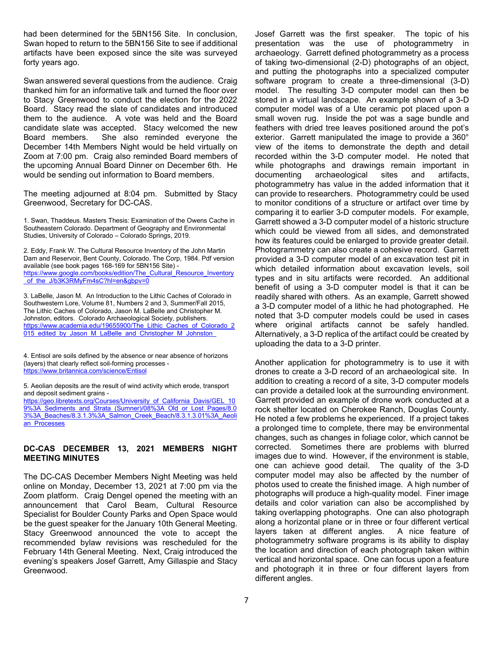had been determined for the 5BN156 Site. In conclusion, Swan hoped to return to the 5BN156 Site to see if additional artifacts have been exposed since the site was surveyed forty years ago.

Swan answered several questions from the audience. Craig thanked him for an informative talk and turned the floor over to Stacy Greenwood to conduct the election for the 2022 Board. Stacy read the slate of candidates and introduced them to the audience. A vote was held and the Board candidate slate was accepted. Stacy welcomed the new Board members. She also reminded everyone the December 14th Members Night would be held virtually on Zoom at 7:00 pm. Craig also reminded Board members of the upcoming Annual Board Dinner on December 6th. He would be sending out information to Board members.

The meeting adjourned at 8:04 pm. Submitted by Stacy Greenwood, Secretary for DC-CAS.

1. Swan, Thaddeus. Masters Thesis: Examination of the Owens Cache in Southeastern Colorado. Department of Geography and Environmental Studies, University of Colorado – Colorado Springs, 2019.

2. Eddy, Frank W. The Cultural Resource Inventory of the John Martin Dam and Reservoir, Bent County, Colorado. The Corp, 1984. Pdf version available (see book pages 168-169 for 5BN156 Site) https://www.google.com/books/edition/The\_Cultural\_Resource\_Inventory of the J/b3K3RMyFm4sC?hl=en&gbpv=0

3. LaBelle, Jason M. An Introduction to the Lithic Caches of Colorado in Southwestern Lore, Volume 81, Numbers 2 and 3, Summer/Fall 2015, The Lithic Caches of Colorado, Jason M. LaBelle and Christopher M. Johnston, editors. Colorado Archaeological Society, publishers. https://www.academia.edu/19655900/The Lithic Caches of Colorado 2 015 edited by Jason M LaBelle and Christopher M Johnston

4. Entisol are soils defined by the absence or near absence of horizons (layers) that clearly reflect soil-forming processes https://www.britannica.com/science/Entisol

5. Aeolian deposits are the result of wind activity which erode, transport and deposit sediment grains -

https://geo.libretexts.org/Courses/University\_of\_California\_Davis/GEL\_10 9%3A Sediments and Strata (Sumner)/08%3A Old or Lost Pages/8.0 3%3A\_Beaches/8.3.1.3%3A\_Salmon\_Creek\_Beach/8.3.1.3.01%3A\_Aeoli an\_Processes

#### DC-CAS DECEMBER 13, 2021 MEMBERS NIGHT MEETING MINUTES

The DC-CAS December Members Night Meeting was held online on Monday, December 13, 2021 at 7:00 pm via the Zoom platform. Craig Dengel opened the meeting with an announcement that Carol Beam, Cultural Resource Specialist for Boulder County Parks and Open Space would be the guest speaker for the January 10th General Meeting. Stacy Greenwood announced the vote to accept the recommended bylaw revisions was rescheduled for the February 14th General Meeting. Next, Craig introduced the evening's speakers Josef Garrett, Amy Gillaspie and Stacy Greenwood.

Josef Garrett was the first speaker. The topic of his presentation was the use of photogrammetry in archaeology. Garrett defined photogrammetry as a process of taking two-dimensional (2-D) photographs of an object, and putting the photographs into a specialized computer software program to create a three-dimensional (3-D) model. The resulting 3-D computer model can then be stored in a virtual landscape. An example shown of a 3-D computer model was of a Ute ceramic pot placed upon a small woven rug. Inside the pot was a sage bundle and feathers with dried tree leaves positioned around the pot's exterior. Garrett manipulated the image to provide a 360° view of the items to demonstrate the depth and detail recorded within the 3-D computer model. He noted that while photographs and drawings remain important in documenting archaeological sites and artifacts, photogrammetry has value in the added information that it can provide to researchers. Photogrammetry could be used to monitor conditions of a structure or artifact over time by comparing it to earlier 3-D computer models. For example, Garrett showed a 3-D computer model of a historic structure which could be viewed from all sides, and demonstrated how its features could be enlarged to provide greater detail. Photogrammetry can also create a cohesive record. Garrett provided a 3-D computer model of an excavation test pit in which detailed information about excavation levels, soil types and in situ artifacts were recorded. An additional benefit of using a 3-D computer model is that it can be readily shared with others. As an example, Garrett showed a 3-D computer model of a lithic he had photographed. He noted that 3-D computer models could be used in cases where original artifacts cannot be safely handled. Alternatively, a 3-D replica of the artifact could be created by uploading the data to a 3-D printer.

Another application for photogrammetry is to use it with drones to create a 3-D record of an archaeological site. In addition to creating a record of a site, 3-D computer models can provide a detailed look at the surrounding environment. Garrett provided an example of drone work conducted at a rock shelter located on Cherokee Ranch, Douglas County. He noted a few problems he experienced. If a project takes a prolonged time to complete, there may be environmental changes, such as changes in foliage color, which cannot be corrected. Sometimes there are problems with blurred images due to wind. However, if the environment is stable, one can achieve good detail. The quality of the 3-D computer model may also be affected by the number of photos used to create the finished image. A high number of photographs will produce a high-quality model. Finer image details and color variation can also be accomplished by taking overlapping photographs. One can also photograph along a horizontal plane or in three or four different vertical layers taken at different angles. A nice feature of photogrammetry software programs is its ability to display the location and direction of each photograph taken within vertical and horizontal space. One can focus upon a feature and photograph it in three or four different layers from different angles.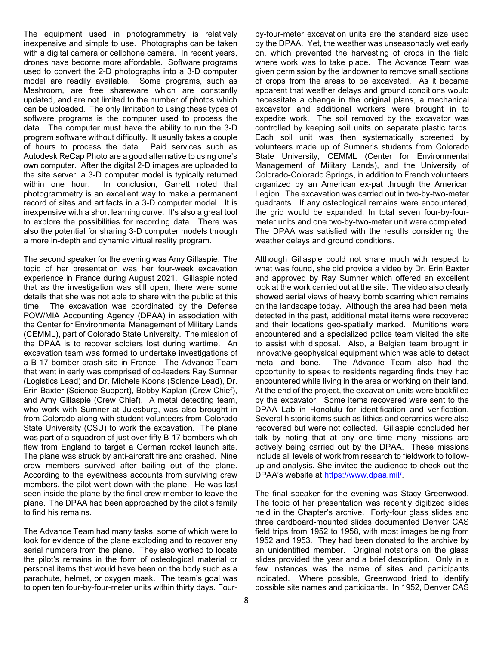The equipment used in photogrammetry is relatively inexpensive and simple to use. Photographs can be taken with a digital camera or cellphone camera. In recent years, drones have become more affordable. Software programs used to convert the 2-D photographs into a 3-D computer model are readily available. Some programs, such as Meshroom, are free shareware which are constantly updated, and are not limited to the number of photos which can be uploaded. The only limitation to using these types of software programs is the computer used to process the data. The computer must have the ability to run the 3-D program software without difficulty. It usually takes a couple of hours to process the data. Paid services such as Autodesk ReCap Photo are a good alternative to using one's own computer. After the digital 2-D images are uploaded to the site server, a 3-D computer model is typically returned within one hour. In conclusion, Garrett noted that photogrammetry is an excellent way to make a permanent record of sites and artifacts in a 3-D computer model. It is inexpensive with a short learning curve. It's also a great tool to explore the possibilities for recording data. There was also the potential for sharing 3-D computer models through a more in-depth and dynamic virtual reality program.

The second speaker for the evening was Amy Gillaspie. The topic of her presentation was her four-week excavation experience in France during August 2021. Gillaspie noted that as the investigation was still open, there were some details that she was not able to share with the public at this time. The excavation was coordinated by the Defense POW/MIA Accounting Agency (DPAA) in association with the Center for Environmental Management of Military Lands (CEMML), part of Colorado State University. The mission of the DPAA is to recover soldiers lost during wartime. An excavation team was formed to undertake investigations of a B-17 bomber crash site in France. The Advance Team that went in early was comprised of co-leaders Ray Sumner (Logistics Lead) and Dr. Michele Koons (Science Lead), Dr. Erin Baxter (Science Support), Bobby Kaplan (Crew Chief), and Amy Gillaspie (Crew Chief). A metal detecting team, who work with Sumner at Julesburg, was also brought in from Colorado along with student volunteers from Colorado State University (CSU) to work the excavation. The plane was part of a squadron of just over fifty B-17 bombers which flew from England to target a German rocket launch site. The plane was struck by anti-aircraft fire and crashed. Nine crew members survived after bailing out of the plane. According to the eyewitness accounts from surviving crew members, the pilot went down with the plane. He was last seen inside the plane by the final crew member to leave the plane. The DPAA had been approached by the pilot's family to find his remains.

The Advance Team had many tasks, some of which were to look for evidence of the plane exploding and to recover any serial numbers from the plane. They also worked to locate the pilot's remains in the form of osteological material or personal items that would have been on the body such as a parachute, helmet, or oxygen mask. The team's goal was to open ten four-by-four-meter units within thirty days. Fourby-four-meter excavation units are the standard size used by the DPAA. Yet, the weather was unseasonably wet early on, which prevented the harvesting of crops in the field where work was to take place. The Advance Team was given permission by the landowner to remove small sections of crops from the areas to be excavated. As it became apparent that weather delays and ground conditions would necessitate a change in the original plans, a mechanical excavator and additional workers were brought in to expedite work. The soil removed by the excavator was controlled by keeping soil units on separate plastic tarps. Each soil unit was then systematically screened by volunteers made up of Sumner's students from Colorado State University, CEMML (Center for Environmental Management of Military Lands), and the University of Colorado-Colorado Springs, in addition to French volunteers organized by an American ex-pat through the American Legion. The excavation was carried out in two-by-two-meter quadrants. If any osteological remains were encountered, the grid would be expanded. In total seven four-by-fourmeter units and one two-by-two-meter unit were completed. The DPAA was satisfied with the results considering the weather delays and ground conditions.

Although Gillaspie could not share much with respect to what was found, she did provide a video by Dr. Erin Baxter and approved by Ray Sumner which offered an excellent look at the work carried out at the site. The video also clearly showed aerial views of heavy bomb scarring which remains on the landscape today. Although the area had been metal detected in the past, additional metal items were recovered and their locations geo-spatially marked. Munitions were encountered and a specialized police team visited the site to assist with disposal. Also, a Belgian team brought in innovative geophysical equipment which was able to detect metal and bone. The Advance Team also had the opportunity to speak to residents regarding finds they had encountered while living in the area or working on their land. At the end of the project, the excavation units were backfilled by the excavator. Some items recovered were sent to the DPAA Lab in Honolulu for identification and verification. Several historic items such as lithics and ceramics were also recovered but were not collected. Gillaspie concluded her talk by noting that at any one time many missions are actively being carried out by the DPAA. These missions include all levels of work from research to fieldwork to followup and analysis. She invited the audience to check out the DPAA's website at https://www.dpaa.mil/.

The final speaker for the evening was Stacy Greenwood. The topic of her presentation was recently digitized slides held in the Chapter's archive. Forty-four glass slides and three cardboard-mounted slides documented Denver CAS field trips from 1952 to 1958, with most images being from 1952 and 1953. They had been donated to the archive by an unidentified member. Original notations on the glass slides provided the year and a brief description. Only in a few instances was the name of sites and participants indicated. Where possible, Greenwood tried to identify possible site names and participants. In 1952, Denver CAS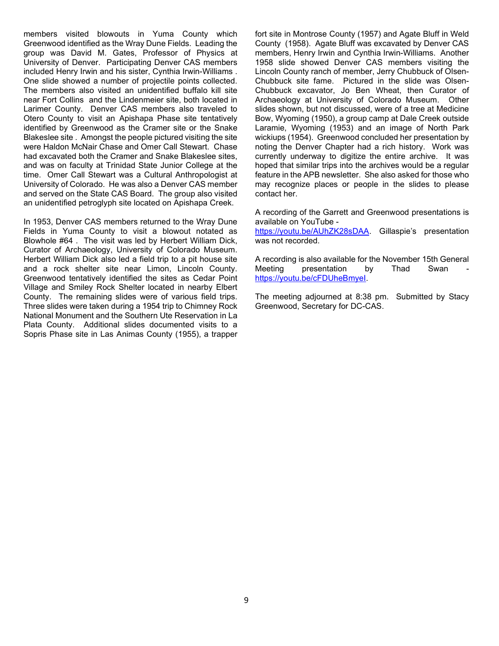members visited blowouts in Yuma County which Greenwood identified as the Wray Dune Fields. Leading the group was David M. Gates, Professor of Physics at University of Denver. Participating Denver CAS members included Henry Irwin and his sister, Cynthia Irwin-Williams . One slide showed a number of projectile points collected. The members also visited an unidentified buffalo kill site near Fort Collins and the Lindenmeier site, both located in Larimer County. Denver CAS members also traveled to Otero County to visit an Apishapa Phase site tentatively identified by Greenwood as the Cramer site or the Snake Blakeslee site . Amongst the people pictured visiting the site were Haldon McNair Chase and Omer Call Stewart. Chase had excavated both the Cramer and Snake Blakeslee sites, and was on faculty at Trinidad State Junior College at the time. Omer Call Stewart was a Cultural Anthropologist at University of Colorado. He was also a Denver CAS member and served on the State CAS Board. The group also visited an unidentified petroglyph site located on Apishapa Creek.

In 1953, Denver CAS members returned to the Wray Dune Fields in Yuma County to visit a blowout notated as Blowhole #64 . The visit was led by Herbert William Dick, Curator of Archaeology, University of Colorado Museum. Herbert William Dick also led a field trip to a pit house site and a rock shelter site near Limon, Lincoln County. Greenwood tentatively identified the sites as Cedar Point Village and Smiley Rock Shelter located in nearby Elbert County. The remaining slides were of various field trips. Three slides were taken during a 1954 trip to Chimney Rock National Monument and the Southern Ute Reservation in La Plata County. Additional slides documented visits to a Sopris Phase site in Las Animas County (1955), a trapper

fort site in Montrose County (1957) and Agate Bluff in Weld County (1958). Agate Bluff was excavated by Denver CAS members, Henry Irwin and Cynthia Irwin-Williams. Another 1958 slide showed Denver CAS members visiting the Lincoln County ranch of member, Jerry Chubbuck of Olsen-Chubbuck site fame. Pictured in the slide was Olsen-Chubbuck excavator, Jo Ben Wheat, then Curator of Archaeology at University of Colorado Museum. Other slides shown, but not discussed, were of a tree at Medicine Bow, Wyoming (1950), a group camp at Dale Creek outside Laramie, Wyoming (1953) and an image of North Park wickiups (1954). Greenwood concluded her presentation by noting the Denver Chapter had a rich history. Work was currently underway to digitize the entire archive. It was hoped that similar trips into the archives would be a regular feature in the APB newsletter. She also asked for those who may recognize places or people in the slides to please contact her.

A recording of the Garrett and Greenwood presentations is available on YouTube -

https://youtu.be/AUhZK28sDAA. Gillaspie's presentation was not recorded.

A recording is also available for the November 15th General Meeting presentation by Thad Swan https://youtu.be/cFDUheBmyeI.

The meeting adjourned at 8:38 pm. Submitted by Stacy Greenwood, Secretary for DC-CAS.